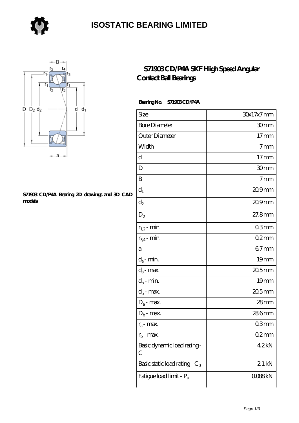

### **[ISOSTATIC BEARING LIMITED](https://store-isabelmarant.com)**



#### **[S71903 CD/P4A Bearing 2D drawings and 3D CAD](https://store-isabelmarant.com/pic-931616.html) [models](https://store-isabelmarant.com/pic-931616.html)**

### **[S71903 CD/P4A SKF High Speed Angular](https://store-isabelmarant.com/skf-bearings/s71903-cd-p4a.html) [Contact Ball Bearings](https://store-isabelmarant.com/skf-bearings/s71903-cd-p4a.html)**

#### **Bearing No. S71903 CD/P4A**

| Size                             | 30x17x7mm        |
|----------------------------------|------------------|
| <b>Bore Diameter</b>             | 30 <sub>mm</sub> |
| Outer Diameter                   | 17 <sub>mm</sub> |
| Width                            | $7 \text{mm}$    |
| d                                | 17 <sub>mm</sub> |
| D                                | 30mm             |
| B                                | 7 <sub>mm</sub>  |
| $d_1$                            | 209mm            |
| $\mathrm{d}_2$                   | 209mm            |
| $\mathrm{D}_2$                   | $27.8$ mm        |
| $r_{1,2}$ - min.                 | 03 <sub>mm</sub> |
| $r_{34}$ - min.                  | $02$ mm          |
| а                                | $67$ mm          |
| $d_a$ - min.                     | 19 <sub>mm</sub> |
| $d_a$ - max.                     | 20.5mm           |
| $d_b$ - min.                     | 19 <sub>mm</sub> |
| $d_b$ - max.                     | $205$ mm         |
| $D_a$ - max.                     | $28$ mm          |
| $\mathbf{D}_\mathrm{b}$ - max.   | 286mm            |
| $r_a$ - max.                     | 03mm             |
| $r_{\rm b}$ - max.               | $02$ mm          |
| Basic dynamic load rating-<br>С  | 42kN             |
| Basic static load rating - $C_0$ | 21 <sub>kN</sub> |
| Fatigue load limit - Pu          | Q088kN           |
|                                  |                  |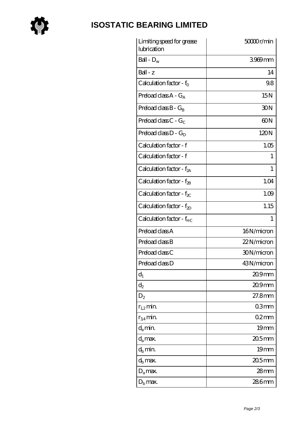

# **[ISOSTATIC BEARING LIMITED](https://store-isabelmarant.com)**

| Limiting speed for grease<br>lubrication | 50000r/min       |
|------------------------------------------|------------------|
| Ball - $D_w$                             | 3969mm           |
| $Ball - z$                               | 14               |
| Calculation factor - $f_0$               | 98               |
| Preload class $A - G_A$                  | 15N              |
| Preload class $B - G_B$                  | 30N              |
| Preload class C - $G_C$                  | 60N              |
| Preload class $D - G_D$                  | 120N             |
| Calculation factor - f                   | 1.05             |
| Calculation factor - f                   | 1                |
| Calculation factor - $f_{2A}$            | 1                |
| Calculation factor - f <sub>2B</sub>     | 1.04             |
| Calculation factor - $f_{\chi}$          | 1.09             |
| Calculation factor - $f_{2D}$            | 1.15             |
| Calculation factor - f <sub>HC</sub>     | 1                |
| Preload class A                          | 16N/micron       |
| Preload class B                          | 22N/micron       |
| Preload class C                          | 30N/micron       |
| Preload class D                          | 43N/micron       |
| $d_1$                                    | $209$ mm         |
| $d_2$                                    | $209$ mm         |
| $D_2$                                    | 27.8mm           |
| $r_{1,2}$ min.                           | 03mm             |
| $r_{34}$ min.                            | 02mm             |
| $d_a$ min.                               | 19mm             |
| $d_a$ max.                               | $205$ mm         |
| $d_h$ min.                               | 19 <sub>mm</sub> |
| $d_h$ max.                               | $205$ mm         |
| $D_a$ max.                               | $28 \text{mm}$   |
| $D_{\rm b}$ max.                         | 286mm            |